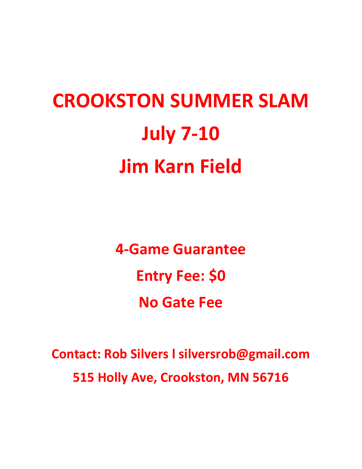# **CROOKSTON SUMMER SLAM July 7-10 Jim Karn Field**

**4-Game Guarantee Entry Fee: \$0 No Gate Fee**

**Contact: Rob Silvers l silversrob@gmail.com 515 Holly Ave, Crookston, MN 56716**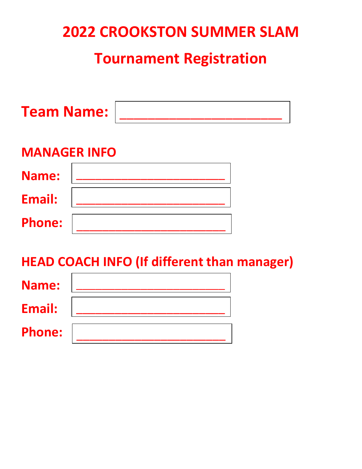# **2022 CROOKSTON SUMMER SLAM**

# **Tournament Registration**

| <b>Team Name:</b>   |  |  |
|---------------------|--|--|
| <b>MANAGER INFO</b> |  |  |
| Name:               |  |  |
| <b>Email:</b>       |  |  |
| <b>Phone:</b>       |  |  |
|                     |  |  |

### **HEAD COACH INFO (If different than manager)**

| <b>Name:</b>  |  |
|---------------|--|
| Email:        |  |
| <b>Phone:</b> |  |